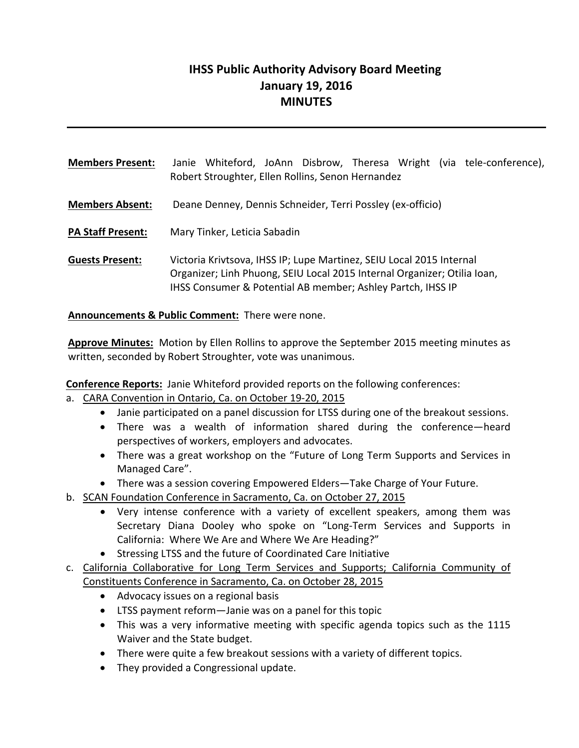# **IHSS Public Authority Advisory Board Meeting January 19, 2016 MINUTES**

| <b>Members Present:</b>  | Janie Whiteford, JoAnn Disbrow, Theresa Wright (via tele-conference),<br>Robert Stroughter, Ellen Rollins, Senon Hernandez                                                                                      |
|--------------------------|-----------------------------------------------------------------------------------------------------------------------------------------------------------------------------------------------------------------|
| <b>Members Absent:</b>   | Deane Denney, Dennis Schneider, Terri Possley (ex-officio)                                                                                                                                                      |
| <b>PA Staff Present:</b> | Mary Tinker, Leticia Sabadin                                                                                                                                                                                    |
| <b>Guests Present:</b>   | Victoria Krivtsova, IHSS IP; Lupe Martinez, SEIU Local 2015 Internal<br>Organizer; Linh Phuong, SEIU Local 2015 Internal Organizer; Otilia Ioan,<br>IHSS Consumer & Potential AB member; Ashley Partch, IHSS IP |

**Announcements & Public Comment:** There were none.

**Approve Minutes:** Motion by Ellen Rollins to approve the September 2015 meeting minutes as written, seconded by Robert Stroughter, vote was unanimous.

**Conference Reports:** Janie Whiteford provided reports on the following conferences:

- a. CARA Convention in Ontario, Ca. on October 19‐20, 2015
	- Janie participated on a panel discussion for LTSS during one of the breakout sessions.
	- There was a wealth of information shared during the conference—heard perspectives of workers, employers and advocates.
	- There was a great workshop on the "Future of Long Term Supports and Services in Managed Care".
	- There was a session covering Empowered Elders—Take Charge of Your Future.
- b. SCAN Foundation Conference in Sacramento, Ca. on October 27, 2015
	- Very intense conference with a variety of excellent speakers, among them was Secretary Diana Dooley who spoke on "Long-Term Services and Supports in California: Where We Are and Where We Are Heading?"
	- Stressing LTSS and the future of Coordinated Care Initiative
- c. California Collaborative for Long Term Services and Supports; California Community of Constituents Conference in Sacramento, Ca. on October 28, 2015
	- Advocacy issues on a regional basis
	- LTSS payment reform—Janie was on a panel for this topic
	- This was a very informative meeting with specific agenda topics such as the 1115 Waiver and the State budget.
	- There were quite a few breakout sessions with a variety of different topics.
	- They provided a Congressional update.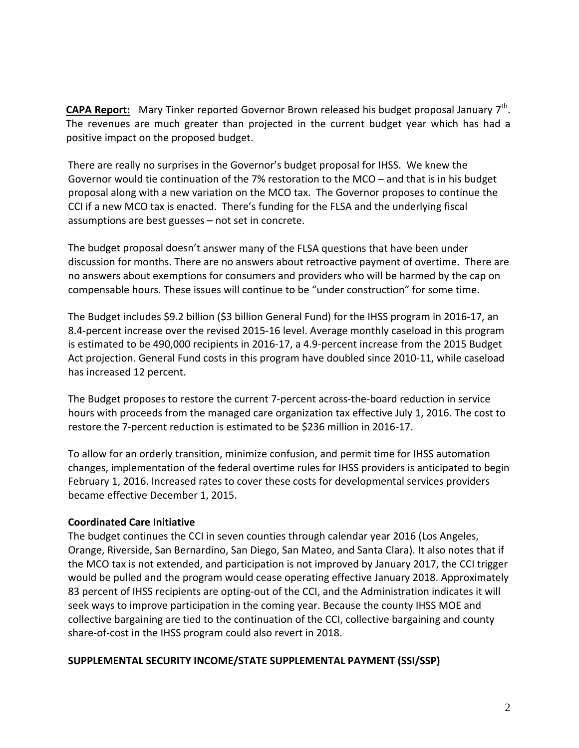**CAPA Report:** Mary Tinker reported Governor Brown released his budget proposal January 7<sup>th</sup>. The revenues are much greater than projected in the current budget year which has had a positive impact on the proposed budget.

There are really no surprises in the Governor's budget proposal for IHSS. We knew the Governor would tie continuation of the 7% restoration to the MCO – and that is in his budget proposal along with a new variation on the MCO tax. The Governor proposes to continue the CCI if a new MCO tax is enacted. There's funding for the FLSA and the underlying fiscal assumptions are best guesses – not set in concrete.

The budget proposal doesn't answer many of the FLSA questions that have been under discussion for months. There are no answers about retroactive payment of overtime. There are no answers about exemptions for consumers and providers who will be harmed by the cap on compensable hours. These issues will continue to be "under construction" for some time.

The Budget includes \$9.2 billion (\$3 billion General Fund) for the IHSS program in 2016-17, an 8.4‐percent increase over the revised 2015‐16 level. Average monthly caseload in this program is estimated to be 490,000 recipients in 2016‐17, a 4.9‐percent increase from the 2015 Budget Act projection. General Fund costs in this program have doubled since 2010‐11, while caseload has increased 12 percent.

The Budget proposes to restore the current 7-percent across-the-board reduction in service hours with proceeds from the managed care organization tax effective July 1, 2016. The cost to restore the 7‐percent reduction is estimated to be \$236 million in 2016‐17.

To allow for an orderly transition, minimize confusion, and permit time for IHSS automation changes, implementation of the federal overtime rules for IHSS providers is anticipated to begin February 1, 2016. Increased rates to cover these costs for developmental services providers became effective December 1, 2015.

#### **Coordinated Care Initiative**

The budget continues the CCI in seven counties through calendar year 2016 (Los Angeles, Orange, Riverside, San Bernardino, San Diego, San Mateo, and Santa Clara). It also notes that if the MCO tax is not extended, and participation is not improved by January 2017, the CCI trigger would be pulled and the program would cease operating effective January 2018. Approximately 83 percent of IHSS recipients are opting-out of the CCI, and the Administration indicates it will seek ways to improve participation in the coming year. Because the county IHSS MOE and collective bargaining are tied to the continuation of the CCI, collective bargaining and county share‐of‐cost in the IHSS program could also revert in 2018.

#### **SUPPLEMENTAL SECURITY INCOME/STATE SUPPLEMENTAL PAYMENT (SSI/SSP)**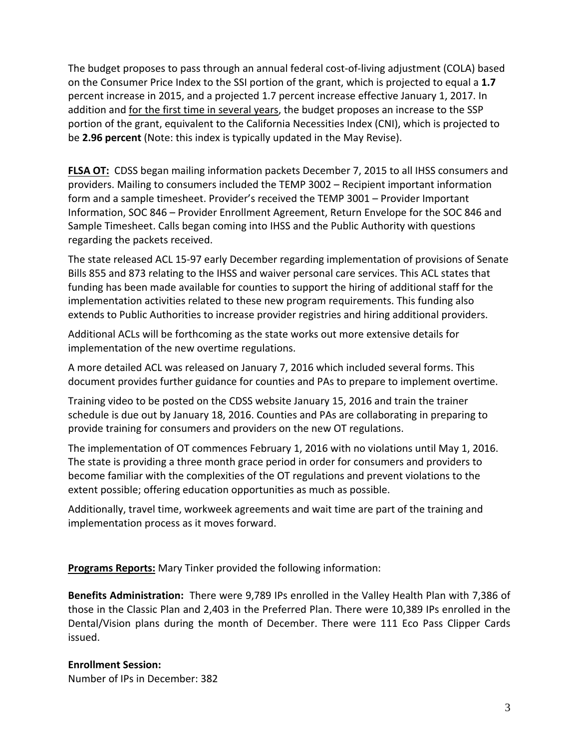The budget proposes to pass through an annual federal cost‐of‐living adjustment (COLA) based on the Consumer Price Index to the SSI portion of the grant, which is projected to equal a **1.7** percent increase in 2015, and a projected 1.7 percent increase effective January 1, 2017. In addition and for the first time in several years, the budget proposes an increase to the SSP portion of the grant, equivalent to the California Necessities Index (CNI), which is projected to be **2.96 percent** (Note: this index is typically updated in the May Revise).

**FLSA OT:** CDSS began mailing information packets December 7, 2015 to all IHSS consumers and providers. Mailing to consumers included the TEMP 3002 – Recipient important information form and a sample timesheet. Provider's received the TEMP 3001 – Provider Important Information, SOC 846 – Provider Enrollment Agreement, Return Envelope for the SOC 846 and Sample Timesheet. Calls began coming into IHSS and the Public Authority with questions regarding the packets received.

The state released ACL 15‐97 early December regarding implementation of provisions of Senate Bills 855 and 873 relating to the IHSS and waiver personal care services. This ACL states that funding has been made available for counties to support the hiring of additional staff for the implementation activities related to these new program requirements. This funding also extends to Public Authorities to increase provider registries and hiring additional providers.

Additional ACLs will be forthcoming as the state works out more extensive details for implementation of the new overtime regulations.

A more detailed ACL was released on January 7, 2016 which included several forms. This document provides further guidance for counties and PAs to prepare to implement overtime.

Training video to be posted on the CDSS website January 15, 2016 and train the trainer schedule is due out by January 18, 2016. Counties and PAs are collaborating in preparing to provide training for consumers and providers on the new OT regulations.

The implementation of OT commences February 1, 2016 with no violations until May 1, 2016. The state is providing a three month grace period in order for consumers and providers to become familiar with the complexities of the OT regulations and prevent violations to the extent possible; offering education opportunities as much as possible.

Additionally, travel time, workweek agreements and wait time are part of the training and implementation process as it moves forward.

**Programs Reports:** Mary Tinker provided the following information:

**Benefits Administration:** There were 9,789 IPs enrolled in the Valley Health Plan with 7,386 of those in the Classic Plan and 2,403 in the Preferred Plan. There were 10,389 IPs enrolled in the Dental/Vision plans during the month of December. There were 111 Eco Pass Clipper Cards issued.

### **Enrollment Session:**

Number of IPs in December: 382